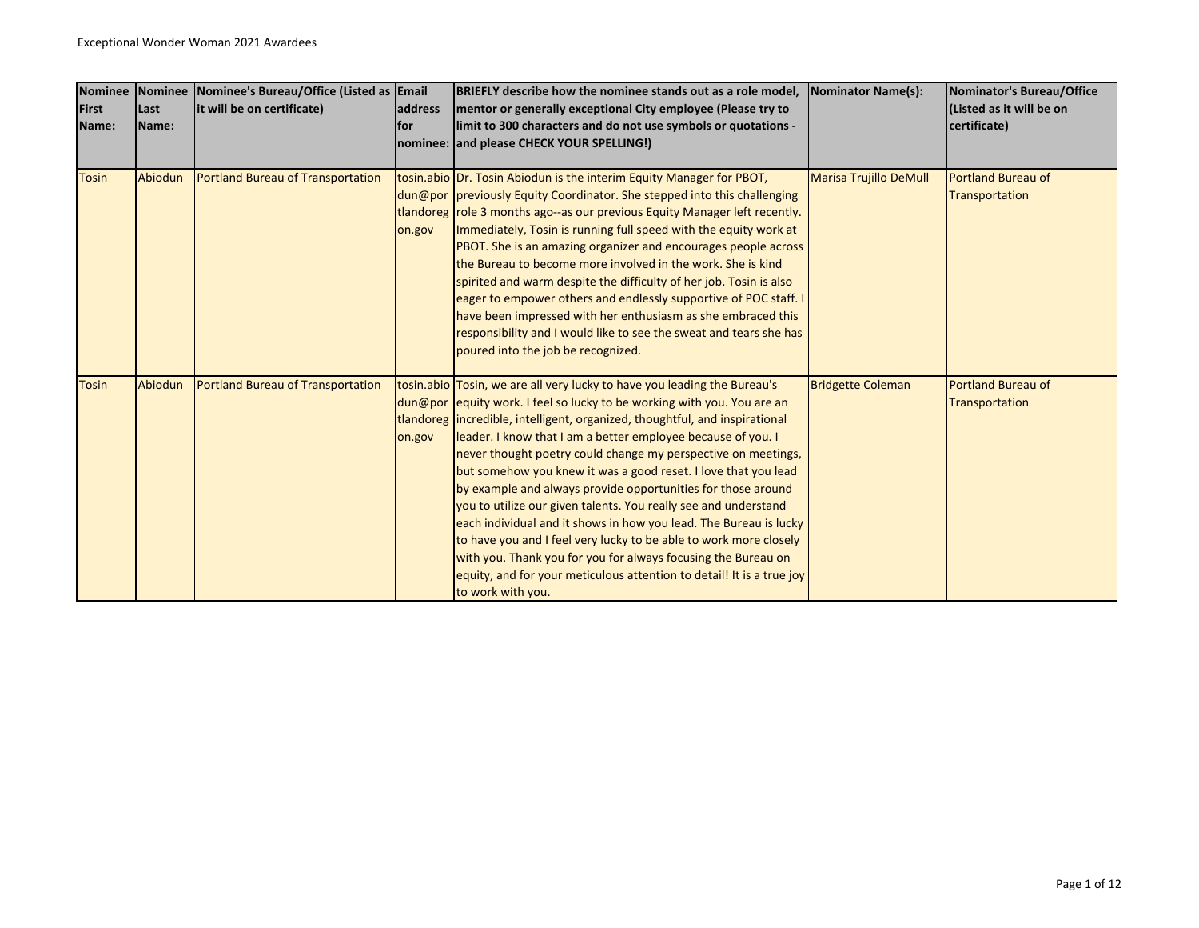| <b>Nominee</b> |              | Nominee Nominee's Bureau/Office (Listed as Email |                | BRIEFLY describe how the nominee stands out as a role model,                | Nominator Name(s):            | Nominator's Bureau/Office |
|----------------|--------------|--------------------------------------------------|----------------|-----------------------------------------------------------------------------|-------------------------------|---------------------------|
| First          | Last         | it will be on certificate)                       | <b>address</b> | mentor or generally exceptional City employee (Please try to                |                               | (Listed as it will be on  |
| Name:          | <b>Name:</b> |                                                  | lfor           | limit to 300 characters and do not use symbols or quotations -              |                               | certificate)              |
|                |              |                                                  |                | nominee: and please CHECK YOUR SPELLING!)                                   |                               |                           |
|                |              |                                                  |                |                                                                             |                               |                           |
| <b>Tosin</b>   | Abiodun      | <b>Portland Bureau of Transportation</b>         |                | tosin.abio Dr. Tosin Abiodun is the interim Equity Manager for PBOT,        | <b>Marisa Trujillo DeMull</b> | <b>Portland Bureau of</b> |
|                |              |                                                  |                | dun@por previously Equity Coordinator. She stepped into this challenging    |                               | Transportation            |
|                |              |                                                  |                | tlandoreg role 3 months ago--as our previous Equity Manager left recently.  |                               |                           |
|                |              |                                                  | on.gov         | Immediately, Tosin is running full speed with the equity work at            |                               |                           |
|                |              |                                                  |                | PBOT. She is an amazing organizer and encourages people across              |                               |                           |
|                |              |                                                  |                | the Bureau to become more involved in the work. She is kind                 |                               |                           |
|                |              |                                                  |                | spirited and warm despite the difficulty of her job. Tosin is also          |                               |                           |
|                |              |                                                  |                | eager to empower others and endlessly supportive of POC staff. I            |                               |                           |
|                |              |                                                  |                | have been impressed with her enthusiasm as she embraced this                |                               |                           |
|                |              |                                                  |                | responsibility and I would like to see the sweat and tears she has          |                               |                           |
|                |              |                                                  |                | poured into the job be recognized.                                          |                               |                           |
|                |              |                                                  |                |                                                                             |                               |                           |
| <b>Tosin</b>   | Abiodun      | Portland Bureau of Transportation                |                | tosin.abio Tosin, we are all very lucky to have you leading the Bureau's    | <b>Bridgette Coleman</b>      | <b>Portland Bureau of</b> |
|                |              |                                                  |                | dun@por lequity work. I feel so lucky to be working with you. You are an    |                               | Transportation            |
|                |              |                                                  |                | tlandoreg incredible, intelligent, organized, thoughtful, and inspirational |                               |                           |
|                |              |                                                  | on.gov         | leader. I know that I am a better employee because of you. I                |                               |                           |
|                |              |                                                  |                | never thought poetry could change my perspective on meetings,               |                               |                           |
|                |              |                                                  |                | but somehow you knew it was a good reset. I love that you lead              |                               |                           |
|                |              |                                                  |                | by example and always provide opportunities for those around                |                               |                           |
|                |              |                                                  |                | you to utilize our given talents. You really see and understand             |                               |                           |
|                |              |                                                  |                | each individual and it shows in how you lead. The Bureau is lucky           |                               |                           |
|                |              |                                                  |                | to have you and I feel very lucky to be able to work more closely           |                               |                           |
|                |              |                                                  |                | with you. Thank you for you for always focusing the Bureau on               |                               |                           |
|                |              |                                                  |                | equity, and for your meticulous attention to detail! It is a true joy       |                               |                           |
|                |              |                                                  |                | to work with you.                                                           |                               |                           |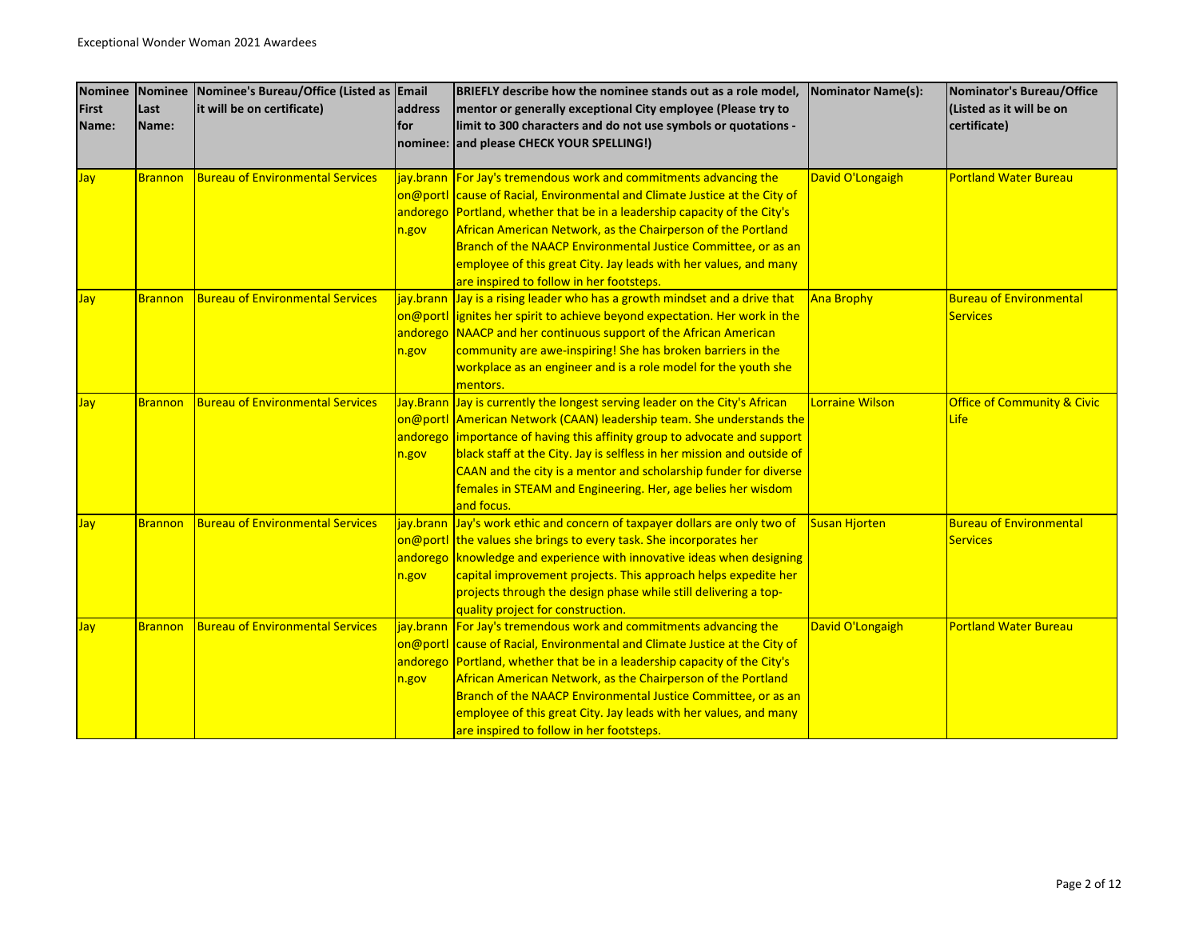| <b>Nominee</b> | Nominee        | Nominee's Bureau/Office (Listed as Email |         | BRIEFLY describe how the nominee stands out as a role model,                | <b>Nominator Name(s):</b> | Nominator's Bureau/Office              |
|----------------|----------------|------------------------------------------|---------|-----------------------------------------------------------------------------|---------------------------|----------------------------------------|
| <b>First</b>   | Last           | it will be on certificate)               | address | mentor or generally exceptional City employee (Please try to                |                           | (Listed as it will be on               |
| Name:          | Name:          |                                          | lfor    | limit to 300 characters and do not use symbols or quotations -              |                           | certificate)                           |
|                |                |                                          |         | nominee: and please CHECK YOUR SPELLING!)                                   |                           |                                        |
|                |                |                                          |         |                                                                             |                           |                                        |
| Jay            | <b>Brannon</b> | <b>Bureau of Environmental Services</b>  |         | jay.brann For Jay's tremendous work and commitments advancing the           | David O'Longaigh          | <b>Portland Water Bureau</b>           |
|                |                |                                          |         | on@portl cause of Racial, Environmental and Climate Justice at the City of  |                           |                                        |
|                |                |                                          |         | andorego Portland, whether that be in a leadership capacity of the City's   |                           |                                        |
|                |                |                                          | n.gov   | African American Network, as the Chairperson of the Portland                |                           |                                        |
|                |                |                                          |         | Branch of the NAACP Environmental Justice Committee, or as an               |                           |                                        |
|                |                |                                          |         | employee of this great City. Jay leads with her values, and many            |                           |                                        |
|                |                |                                          |         | are inspired to follow in her footsteps.                                    |                           |                                        |
| Jay            | <b>Brannon</b> | <b>Bureau of Environmental Services</b>  |         | jay.brann Jay is a rising leader who has a growth mindset and a drive that  | <b>Ana Brophy</b>         | <b>Bureau of Environmental</b>         |
|                |                |                                          |         | on@portl ignites her spirit to achieve beyond expectation. Her work in the  |                           | <b>Services</b>                        |
|                |                |                                          |         | andorego NAACP and her continuous support of the African American           |                           |                                        |
|                |                |                                          | n.gov   | community are awe-inspiring! She has broken barriers in the                 |                           |                                        |
|                |                |                                          |         | workplace as an engineer and is a role model for the youth she              |                           |                                        |
|                |                |                                          |         | mentors.                                                                    |                           |                                        |
| Jay            | <b>Brannon</b> | <b>Bureau of Environmental Services</b>  |         | Jay.Brann Jay is currently the longest serving leader on the City's African | Lorraine Wilson           | <b>Office of Community &amp; Civic</b> |
|                |                |                                          |         | on@portl American Network (CAAN) leadership team. She understands the       |                           | <b>Life</b>                            |
|                |                |                                          |         | andorego importance of having this affinity group to advocate and support   |                           |                                        |
|                |                |                                          | n.gov   | black staff at the City. Jay is selfless in her mission and outside of      |                           |                                        |
|                |                |                                          |         | CAAN and the city is a mentor and scholarship funder for diverse            |                           |                                        |
|                |                |                                          |         | females in STEAM and Engineering. Her, age belies her wisdom                |                           |                                        |
|                |                |                                          |         | and focus.                                                                  |                           |                                        |
| Jay            | <b>Brannon</b> | <b>Bureau of Environmental Services</b>  |         | jay.brann Jay's work ethic and concern of taxpayer dollars are only two of  | <b>Susan Hjorten</b>      | <b>Bureau of Environmental</b>         |
|                |                |                                          |         | on@portl the values she brings to every task. She incorporates her          |                           | <b>Services</b>                        |
|                |                |                                          |         | andorego knowledge and experience with innovative ideas when designing      |                           |                                        |
|                |                |                                          | n.gov   | capital improvement projects. This approach helps expedite her              |                           |                                        |
|                |                |                                          |         | projects through the design phase while still delivering a top-             |                           |                                        |
|                |                |                                          |         | quality project for construction.                                           |                           |                                        |
| <b>Jay</b>     | <b>Brannon</b> | <b>Bureau of Environmental Services</b>  |         | jay.brann   For Jay's tremendous work and commitments advancing the         | David O'Longaigh          | <b>Portland Water Bureau</b>           |
|                |                |                                          |         | on@portl cause of Racial, Environmental and Climate Justice at the City of  |                           |                                        |
|                |                |                                          |         | andorego Portland, whether that be in a leadership capacity of the City's   |                           |                                        |
|                |                |                                          | n.gov   | African American Network, as the Chairperson of the Portland                |                           |                                        |
|                |                |                                          |         | Branch of the NAACP Environmental Justice Committee, or as an               |                           |                                        |
|                |                |                                          |         | employee of this great City. Jay leads with her values, and many            |                           |                                        |
|                |                |                                          |         | are inspired to follow in her footsteps.                                    |                           |                                        |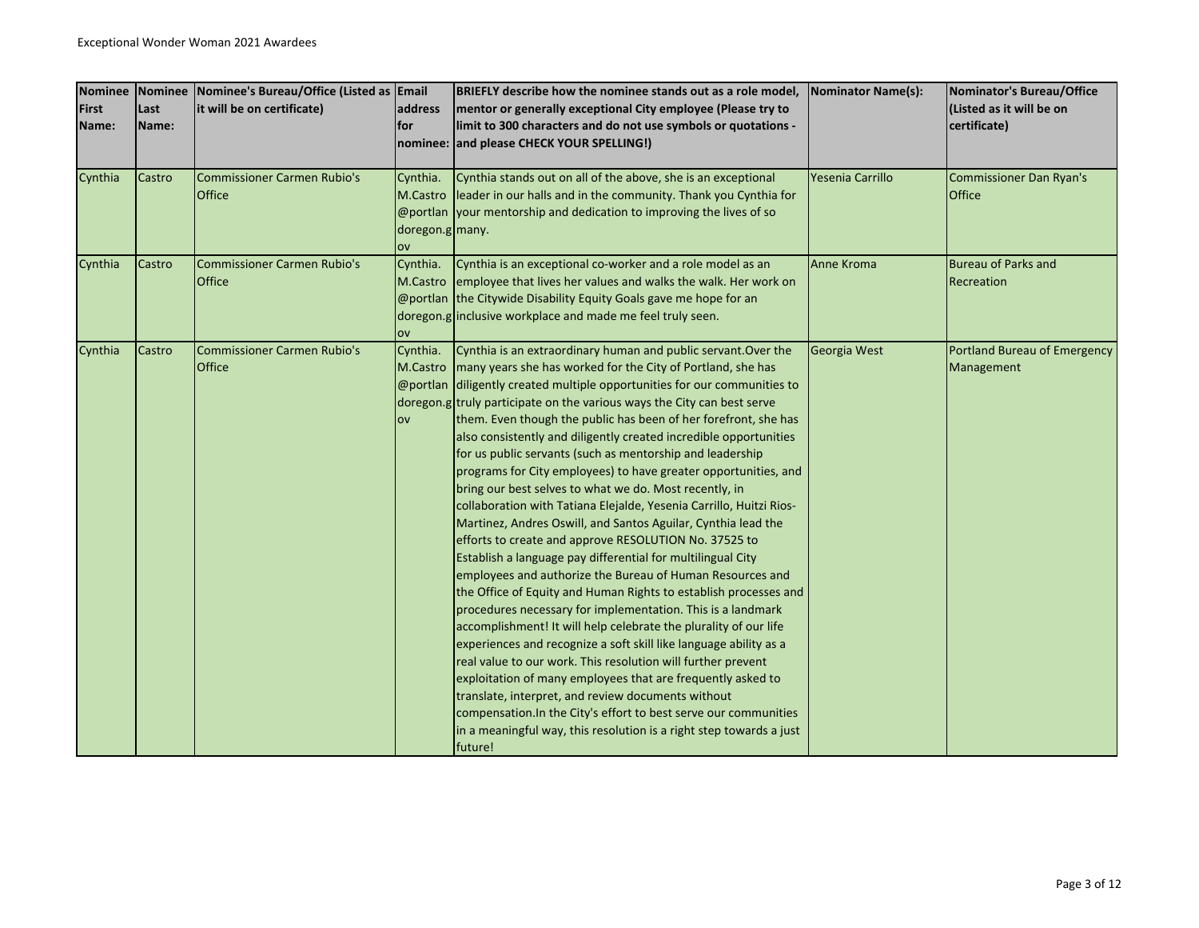| <b>Nominee</b> |        | Nominee Nominee's Bureau/Office (Listed as Email |                 | BRIEFLY describe how the nominee stands out as a role model,                 | <b>Nominator Name(s):</b> | Nominator's Bureau/Office      |
|----------------|--------|--------------------------------------------------|-----------------|------------------------------------------------------------------------------|---------------------------|--------------------------------|
| First          | Last   | it will be on certificate)                       | address         | mentor or generally exceptional City employee (Please try to                 |                           | (Listed as it will be on       |
| Name:          | Name:  |                                                  | lfor            | limit to 300 characters and do not use symbols or quotations -               |                           | certificate)                   |
|                |        |                                                  |                 | nominee: and please CHECK YOUR SPELLING!)                                    |                           |                                |
|                |        |                                                  |                 |                                                                              |                           |                                |
| Cynthia        | Castro | <b>Commissioner Carmen Rubio's</b>               | Cynthia.        | Cynthia stands out on all of the above, she is an exceptional                | Yesenia Carrillo          | <b>Commissioner Dan Ryan's</b> |
|                |        | Office                                           |                 | M.Castro leader in our halls and in the community. Thank you Cynthia for     |                           | <b>Office</b>                  |
|                |        |                                                  |                 | $\omega$ portlan vour mentorship and dedication to improving the lives of so |                           |                                |
|                |        |                                                  | doregon.g many. |                                                                              |                           |                                |
|                |        |                                                  | ov              |                                                                              |                           |                                |
| Cynthia        | Castro | <b>Commissioner Carmen Rubio's</b>               | Cynthia.        | Cynthia is an exceptional co-worker and a role model as an                   | Anne Kroma                | <b>Bureau of Parks and</b>     |
|                |        | Office                                           | M.Castro        | employee that lives her values and walks the walk. Her work on               |                           | Recreation                     |
|                |        |                                                  |                 | @portlan the Citywide Disability Equity Goals gave me hope for an            |                           |                                |
|                |        |                                                  |                 | doregon.g inclusive workplace and made me feel truly seen.                   |                           |                                |
|                |        |                                                  | OV              |                                                                              |                           |                                |
| Cynthia        | Castro | <b>Commissioner Carmen Rubio's</b>               | Cynthia.        | Cynthia is an extraordinary human and public servant. Over the               | Georgia West              | Portland Bureau of Emergency   |
|                |        | Office                                           | M.Castro        | many years she has worked for the City of Portland, she has                  |                           | Management                     |
|                |        |                                                  |                 | @portlan diligently created multiple opportunities for our communities to    |                           |                                |
|                |        |                                                  |                 | doregon.g truly participate on the various ways the City can best serve      |                           |                                |
|                |        |                                                  | ov              | them. Even though the public has been of her forefront, she has              |                           |                                |
|                |        |                                                  |                 | also consistently and diligently created incredible opportunities            |                           |                                |
|                |        |                                                  |                 | for us public servants (such as mentorship and leadership                    |                           |                                |
|                |        |                                                  |                 | programs for City employees) to have greater opportunities, and              |                           |                                |
|                |        |                                                  |                 | bring our best selves to what we do. Most recently, in                       |                           |                                |
|                |        |                                                  |                 | collaboration with Tatiana Elejalde, Yesenia Carrillo, Huitzi Rios-          |                           |                                |
|                |        |                                                  |                 | Martinez, Andres Oswill, and Santos Aguilar, Cynthia lead the                |                           |                                |
|                |        |                                                  |                 | efforts to create and approve RESOLUTION No. 37525 to                        |                           |                                |
|                |        |                                                  |                 | Establish a language pay differential for multilingual City                  |                           |                                |
|                |        |                                                  |                 | employees and authorize the Bureau of Human Resources and                    |                           |                                |
|                |        |                                                  |                 | the Office of Equity and Human Rights to establish processes and             |                           |                                |
|                |        |                                                  |                 | procedures necessary for implementation. This is a landmark                  |                           |                                |
|                |        |                                                  |                 | accomplishment! It will help celebrate the plurality of our life             |                           |                                |
|                |        |                                                  |                 | experiences and recognize a soft skill like language ability as a            |                           |                                |
|                |        |                                                  |                 | real value to our work. This resolution will further prevent                 |                           |                                |
|                |        |                                                  |                 | exploitation of many employees that are frequently asked to                  |                           |                                |
|                |        |                                                  |                 | translate, interpret, and review documents without                           |                           |                                |
|                |        |                                                  |                 | compensation. In the City's effort to best serve our communities             |                           |                                |
|                |        |                                                  |                 | in a meaningful way, this resolution is a right step towards a just          |                           |                                |
|                |        |                                                  |                 | future!                                                                      |                           |                                |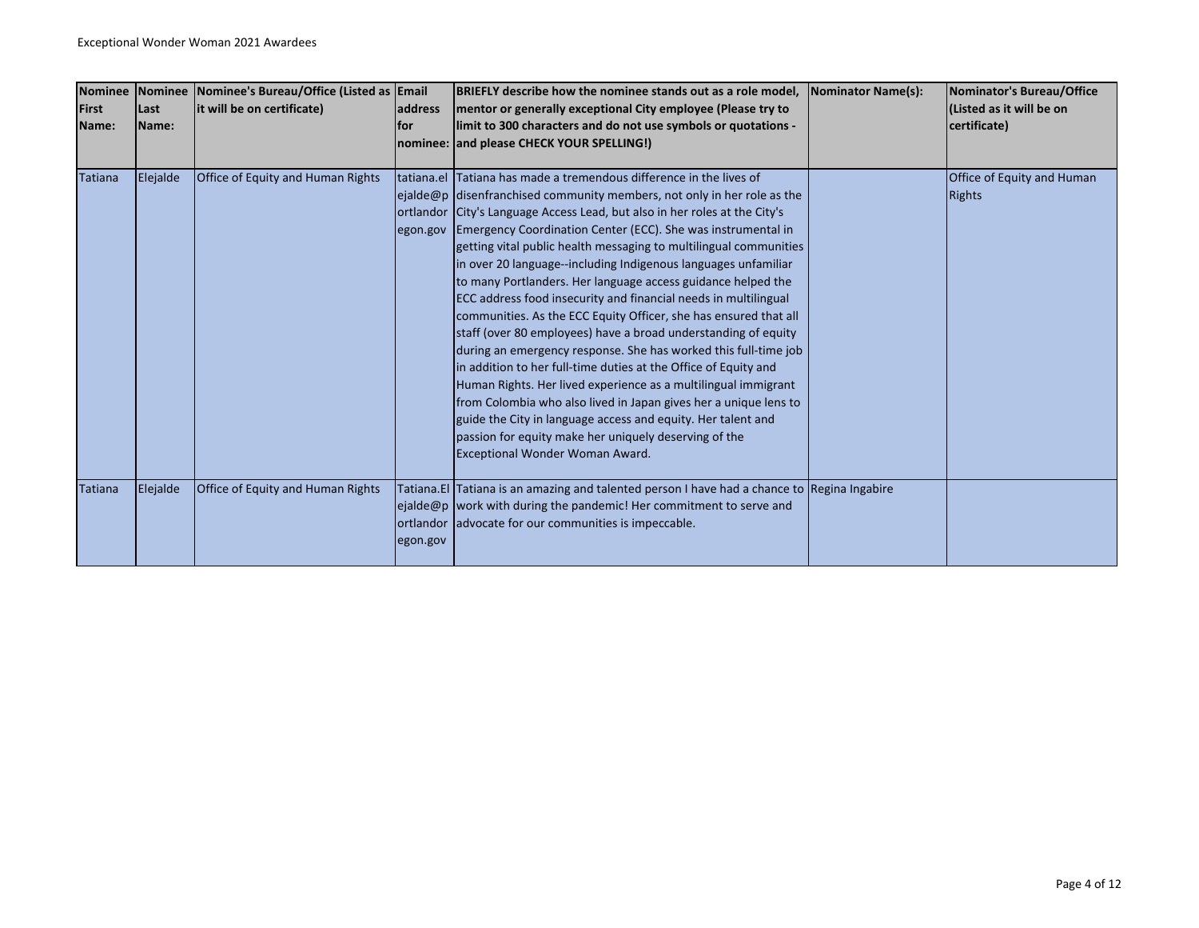| <b>Nominee</b> |               | Nominee Nominee's Bureau/Office (Listed as Email |            | BRIEFLY describe how the nominee stands out as a role model,                                 | Nominator Name(s): | Nominator's Bureau/Office  |
|----------------|---------------|--------------------------------------------------|------------|----------------------------------------------------------------------------------------------|--------------------|----------------------------|
| <b>First</b>   | Last          | it will be on certificate)                       | address    | mentor or generally exceptional City employee (Please try to                                 |                    | (Listed as it will be on   |
| Name:          | <b>IName:</b> |                                                  | <b>for</b> | limit to 300 characters and do not use symbols or quotations -                               |                    | certificate)               |
|                |               |                                                  |            | nominee: and please CHECK YOUR SPELLING!)                                                    |                    |                            |
|                |               |                                                  |            |                                                                                              |                    |                            |
| Tatiana        | Elejalde      | Office of Equity and Human Rights                |            | tatiana.el Tatiana has made a tremendous difference in the lives of                          |                    | Office of Equity and Human |
|                |               |                                                  |            | ejalde@p disenfranchised community members, not only in her role as the                      |                    | <b>Rights</b>              |
|                |               |                                                  |            | ortlandor City's Language Access Lead, but also in her roles at the City's                   |                    |                            |
|                |               |                                                  |            | egon.gov Emergency Coordination Center (ECC). She was instrumental in                        |                    |                            |
|                |               |                                                  |            | getting vital public health messaging to multilingual communities                            |                    |                            |
|                |               |                                                  |            | in over 20 language--including Indigenous languages unfamiliar                               |                    |                            |
|                |               |                                                  |            | to many Portlanders. Her language access guidance helped the                                 |                    |                            |
|                |               |                                                  |            | ECC address food insecurity and financial needs in multilingual                              |                    |                            |
|                |               |                                                  |            | communities. As the ECC Equity Officer, she has ensured that all                             |                    |                            |
|                |               |                                                  |            | staff (over 80 employees) have a broad understanding of equity                               |                    |                            |
|                |               |                                                  |            | during an emergency response. She has worked this full-time job                              |                    |                            |
|                |               |                                                  |            | in addition to her full-time duties at the Office of Equity and                              |                    |                            |
|                |               |                                                  |            | Human Rights. Her lived experience as a multilingual immigrant                               |                    |                            |
|                |               |                                                  |            | from Colombia who also lived in Japan gives her a unique lens to                             |                    |                            |
|                |               |                                                  |            | guide the City in language access and equity. Her talent and                                 |                    |                            |
|                |               |                                                  |            | passion for equity make her uniquely deserving of the                                        |                    |                            |
|                |               |                                                  |            | Exceptional Wonder Woman Award.                                                              |                    |                            |
|                |               |                                                  |            |                                                                                              |                    |                            |
| Tatiana        | Elejalde      | Office of Equity and Human Rights                |            | Tatiana. El Tatiana is an amazing and talented person I have had a chance to Regina Ingabire |                    |                            |
|                |               |                                                  |            | ejalde@p work with during the pandemic! Her commitment to serve and                          |                    |                            |
|                |               |                                                  |            | ortlandor advocate for our communities is impeccable.                                        |                    |                            |
|                |               |                                                  | egon.gov   |                                                                                              |                    |                            |
|                |               |                                                  |            |                                                                                              |                    |                            |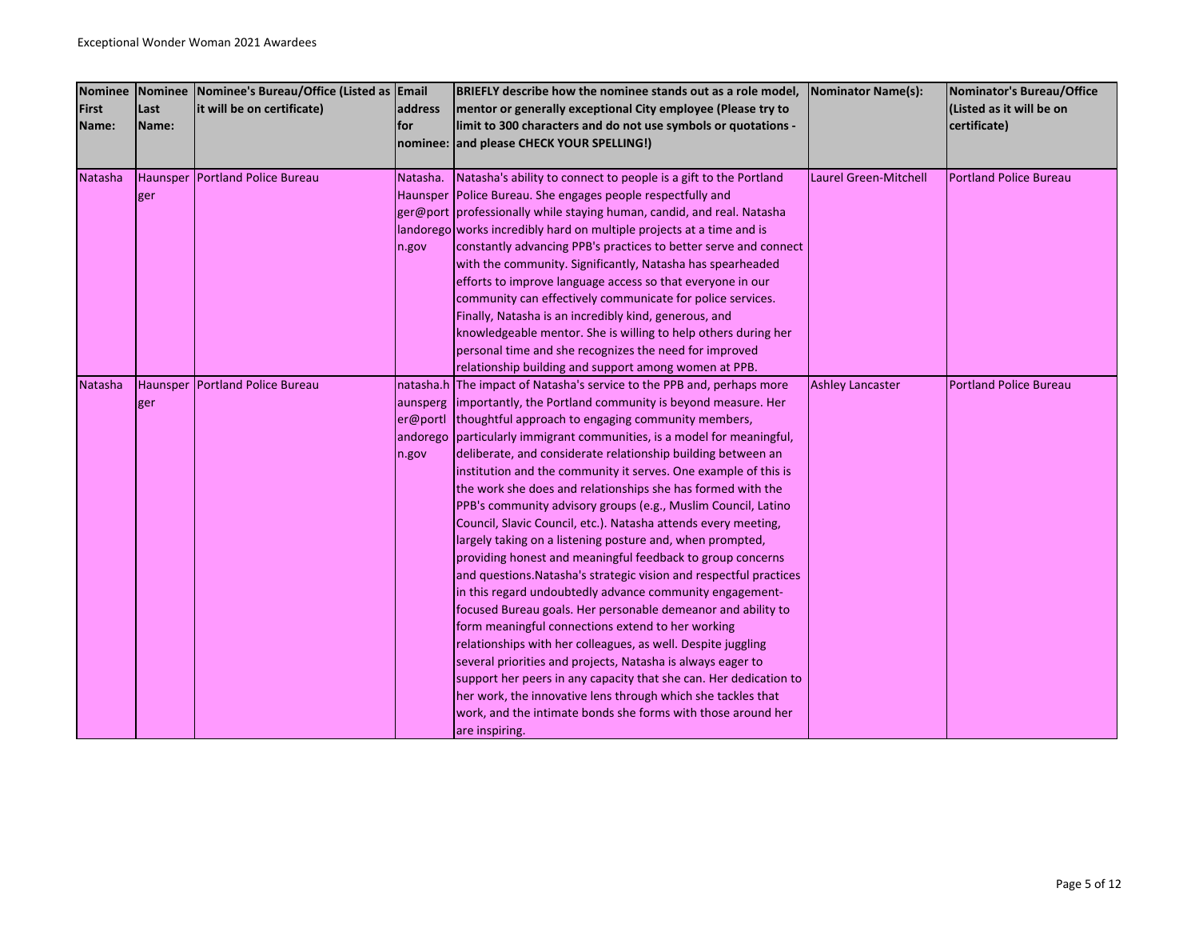| <b>Nominee</b> | Nominee  | Nominee's Bureau/Office (Listed as Email |          | BRIEFLY describe how the nominee stands out as a role model,            | <b>Nominator Name(s):</b>    | Nominator's Bureau/Office     |
|----------------|----------|------------------------------------------|----------|-------------------------------------------------------------------------|------------------------------|-------------------------------|
| <b>First</b>   | Last     | it will be on certificate)               | address  | mentor or generally exceptional City employee (Please try to            |                              | (Listed as it will be on      |
| Name:          | Name:    |                                          | lfor     | limit to 300 characters and do not use symbols or quotations -          |                              | certificate)                  |
|                |          |                                          |          | nominee: and please CHECK YOUR SPELLING!)                               |                              |                               |
|                |          |                                          |          |                                                                         |                              |                               |
| Natasha        |          | Haunsper Portland Police Bureau          | Natasha. | Natasha's ability to connect to people is a gift to the Portland        | <b>Laurel Green-Mitchell</b> | <b>Portland Police Bureau</b> |
|                | ger      |                                          |          | Haunsper Police Bureau. She engages people respectfully and             |                              |                               |
|                |          |                                          |          | ger@port professionally while staying human, candid, and real. Natasha  |                              |                               |
|                |          |                                          |          | landorego works incredibly hard on multiple projects at a time and is   |                              |                               |
|                |          |                                          | n.gov    | constantly advancing PPB's practices to better serve and connect        |                              |                               |
|                |          |                                          |          | with the community. Significantly, Natasha has spearheaded              |                              |                               |
|                |          |                                          |          | efforts to improve language access so that everyone in our              |                              |                               |
|                |          |                                          |          | community can effectively communicate for police services.              |                              |                               |
|                |          |                                          |          | Finally, Natasha is an incredibly kind, generous, and                   |                              |                               |
|                |          |                                          |          | knowledgeable mentor. She is willing to help others during her          |                              |                               |
|                |          |                                          |          | personal time and she recognizes the need for improved                  |                              |                               |
|                |          |                                          |          | relationship building and support among women at PPB.                   |                              |                               |
| Natasha        | Haunsper | <b>Portland Police Bureau</b>            |          | natasha.h The impact of Natasha's service to the PPB and, perhaps more  | <b>Ashley Lancaster</b>      | <b>Portland Police Bureau</b> |
|                | ger      |                                          |          | aunsperg importantly, the Portland community is beyond measure. Her     |                              |                               |
|                |          |                                          | er@portl | thoughtful approach to engaging community members,                      |                              |                               |
|                |          |                                          |          | andorego particularly immigrant communities, is a model for meaningful, |                              |                               |
|                |          |                                          | n.gov    | deliberate, and considerate relationship building between an            |                              |                               |
|                |          |                                          |          | institution and the community it serves. One example of this is         |                              |                               |
|                |          |                                          |          | the work she does and relationships she has formed with the             |                              |                               |
|                |          |                                          |          | PPB's community advisory groups (e.g., Muslim Council, Latino           |                              |                               |
|                |          |                                          |          | Council, Slavic Council, etc.). Natasha attends every meeting,          |                              |                               |
|                |          |                                          |          | largely taking on a listening posture and, when prompted,               |                              |                               |
|                |          |                                          |          | providing honest and meaningful feedback to group concerns              |                              |                               |
|                |          |                                          |          | and questions. Natasha's strategic vision and respectful practices      |                              |                               |
|                |          |                                          |          | in this regard undoubtedly advance community engagement-                |                              |                               |
|                |          |                                          |          | focused Bureau goals. Her personable demeanor and ability to            |                              |                               |
|                |          |                                          |          | form meaningful connections extend to her working                       |                              |                               |
|                |          |                                          |          | relationships with her colleagues, as well. Despite juggling            |                              |                               |
|                |          |                                          |          | several priorities and projects, Natasha is always eager to             |                              |                               |
|                |          |                                          |          | support her peers in any capacity that she can. Her dedication to       |                              |                               |
|                |          |                                          |          | her work, the innovative lens through which she tackles that            |                              |                               |
|                |          |                                          |          | work, and the intimate bonds she forms with those around her            |                              |                               |
|                |          |                                          |          | are inspiring.                                                          |                              |                               |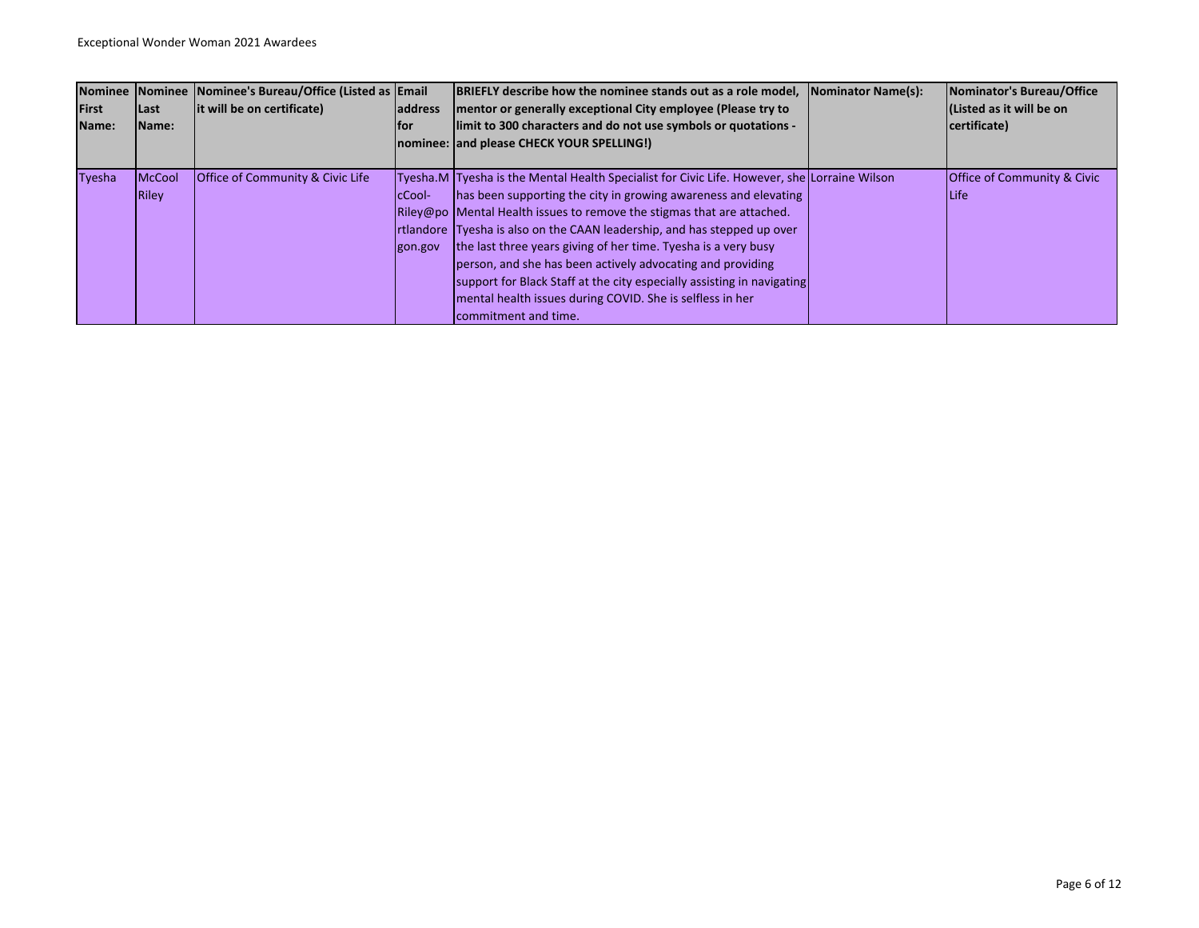| <b>Nominee</b><br><b>First</b><br>Name: | <b>Last</b><br>IName:  | Nominee Nominee's Bureau/Office (Listed as Email<br>lit will be on certificate) | <b>address</b><br>lfor    | <b>BRIEFLY describe how the nominee stands out as a role model,</b><br>mentor or generally exceptional City employee (Please try to<br>limit to 300 characters and do not use symbols or quotations -<br>nominee: and please CHECK YOUR SPELLING!)                                                                                                                                                                                                                                                                                                                                                                           | Nominator Name(s): | Nominator's Bureau/Office<br>l(Listed as it will be on<br>certificate) |
|-----------------------------------------|------------------------|---------------------------------------------------------------------------------|---------------------------|------------------------------------------------------------------------------------------------------------------------------------------------------------------------------------------------------------------------------------------------------------------------------------------------------------------------------------------------------------------------------------------------------------------------------------------------------------------------------------------------------------------------------------------------------------------------------------------------------------------------------|--------------------|------------------------------------------------------------------------|
| Tyesha                                  | <b>McCool</b><br>Riley | <b>Office of Community &amp; Civic Life</b>                                     | <b>IcCool-</b><br>gon.gov | Tyesha.M Tyesha is the Mental Health Specialist for Civic Life. However, she Lorraine Wilson<br>has been supporting the city in growing awareness and elevating<br>Riley@po Mental Health issues to remove the stigmas that are attached.<br><b>Irtlandore</b> Tyesha is also on the CAAN leadership, and has stepped up over<br>the last three years giving of her time. Tyesha is a very busy<br>person, and she has been actively advocating and providing<br>support for Black Staff at the city especially assisting in navigating<br>mental health issues during COVID. She is selfless in her<br>commitment and time. |                    | <b>Office of Community &amp; Civic</b><br><b>Life</b>                  |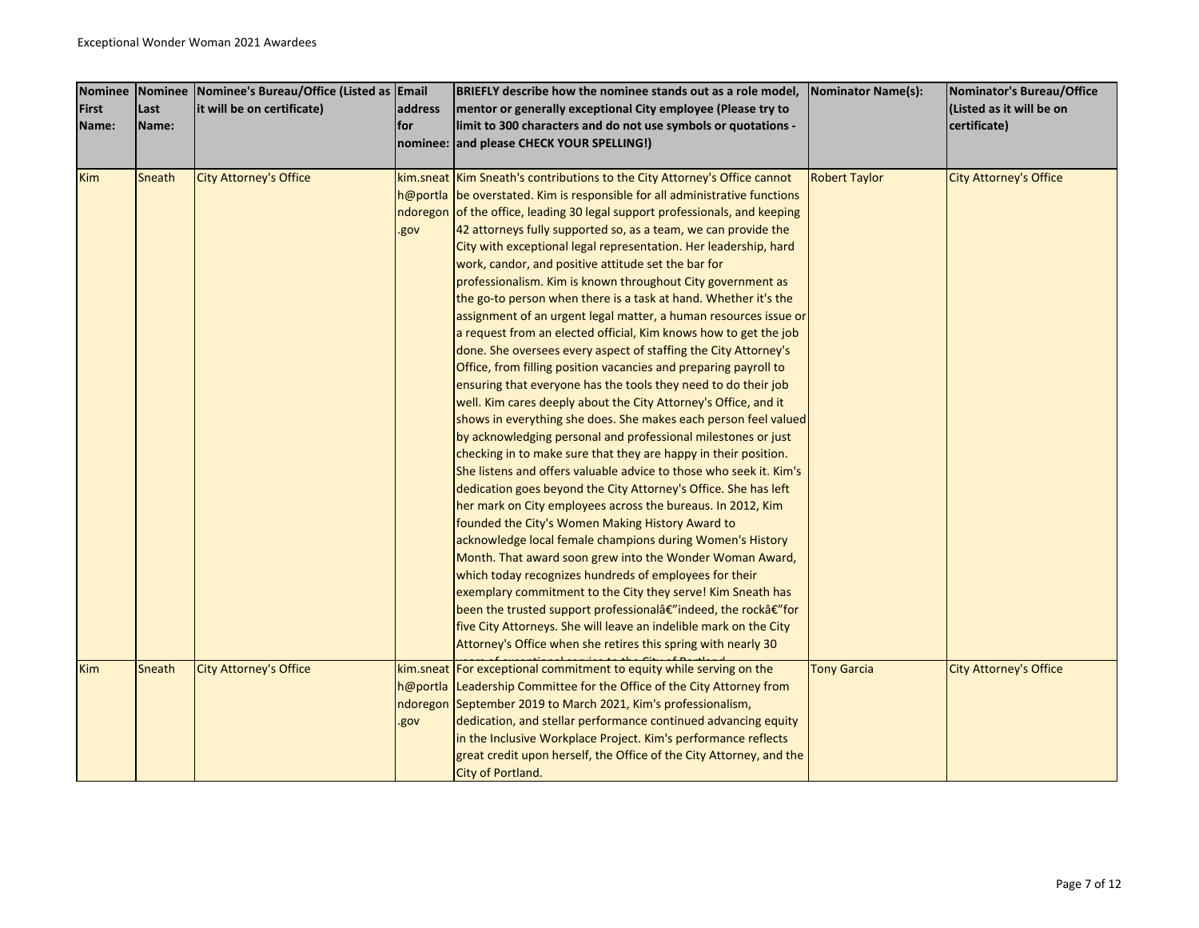| <b>Nominee</b> |        | Nominee Nominee's Bureau/Office (Listed as Email |         | BRIEFLY describe how the nominee stands out as a role model,                | <b>Nominator Name(s):</b> | Nominator's Bureau/Office     |
|----------------|--------|--------------------------------------------------|---------|-----------------------------------------------------------------------------|---------------------------|-------------------------------|
| <b>First</b>   | Last   | it will be on certificate)                       | address | mentor or generally exceptional City employee (Please try to                |                           | (Listed as it will be on      |
| Name:          | Name:  |                                                  | lfor    | limit to 300 characters and do not use symbols or quotations -              |                           | certificate)                  |
|                |        |                                                  |         | nominee: and please CHECK YOUR SPELLING!)                                   |                           |                               |
|                |        |                                                  |         |                                                                             |                           |                               |
| <b>Kim</b>     | Sneath | <b>City Attorney's Office</b>                    |         | kim.sneat Kim Sneath's contributions to the City Attorney's Office cannot   | <b>Robert Taylor</b>      | <b>City Attorney's Office</b> |
|                |        |                                                  |         | h@portla be overstated. Kim is responsible for all administrative functions |                           |                               |
|                |        |                                                  |         | ndoregon of the office, leading 30 legal support professionals, and keeping |                           |                               |
|                |        |                                                  | .gov    | 42 attorneys fully supported so, as a team, we can provide the              |                           |                               |
|                |        |                                                  |         | City with exceptional legal representation. Her leadership, hard            |                           |                               |
|                |        |                                                  |         | work, candor, and positive attitude set the bar for                         |                           |                               |
|                |        |                                                  |         | professionalism. Kim is known throughout City government as                 |                           |                               |
|                |        |                                                  |         | the go-to person when there is a task at hand. Whether it's the             |                           |                               |
|                |        |                                                  |         | assignment of an urgent legal matter, a human resources issue or            |                           |                               |
|                |        |                                                  |         | a request from an elected official, Kim knows how to get the job            |                           |                               |
|                |        |                                                  |         | done. She oversees every aspect of staffing the City Attorney's             |                           |                               |
|                |        |                                                  |         | Office, from filling position vacancies and preparing payroll to            |                           |                               |
|                |        |                                                  |         | ensuring that everyone has the tools they need to do their job              |                           |                               |
|                |        |                                                  |         | well. Kim cares deeply about the City Attorney's Office, and it             |                           |                               |
|                |        |                                                  |         | shows in everything she does. She makes each person feel valued             |                           |                               |
|                |        |                                                  |         | by acknowledging personal and professional milestones or just               |                           |                               |
|                |        |                                                  |         | checking in to make sure that they are happy in their position.             |                           |                               |
|                |        |                                                  |         | She listens and offers valuable advice to those who seek it. Kim's          |                           |                               |
|                |        |                                                  |         | dedication goes beyond the City Attorney's Office. She has left             |                           |                               |
|                |        |                                                  |         | her mark on City employees across the bureaus. In 2012, Kim                 |                           |                               |
|                |        |                                                  |         | founded the City's Women Making History Award to                            |                           |                               |
|                |        |                                                  |         | acknowledge local female champions during Women's History                   |                           |                               |
|                |        |                                                  |         | Month. That award soon grew into the Wonder Woman Award,                    |                           |                               |
|                |        |                                                  |         | which today recognizes hundreds of employees for their                      |                           |                               |
|                |        |                                                  |         | exemplary commitment to the City they serve! Kim Sneath has                 |                           |                               |
|                |        |                                                  |         | been the trusted support professionalâ€"indeed, the rockâ€"for              |                           |                               |
|                |        |                                                  |         | five City Attorneys. She will leave an indelible mark on the City           |                           |                               |
|                |        |                                                  |         | Attorney's Office when she retires this spring with nearly 30               |                           |                               |
| <b>Kim</b>     | Sneath | <b>City Attorney's Office</b>                    |         | kim.sneat For exceptional commitment to equity while serving on the         | <b>Tony Garcia</b>        | <b>City Attorney's Office</b> |
|                |        |                                                  |         | h@portla Leadership Committee for the Office of the City Attorney from      |                           |                               |
|                |        |                                                  |         | ndoregon September 2019 to March 2021, Kim's professionalism,               |                           |                               |
|                |        |                                                  | .gov    | dedication, and stellar performance continued advancing equity              |                           |                               |
|                |        |                                                  |         | in the Inclusive Workplace Project. Kim's performance reflects              |                           |                               |
|                |        |                                                  |         | great credit upon herself, the Office of the City Attorney, and the         |                           |                               |
|                |        |                                                  |         | City of Portland.                                                           |                           |                               |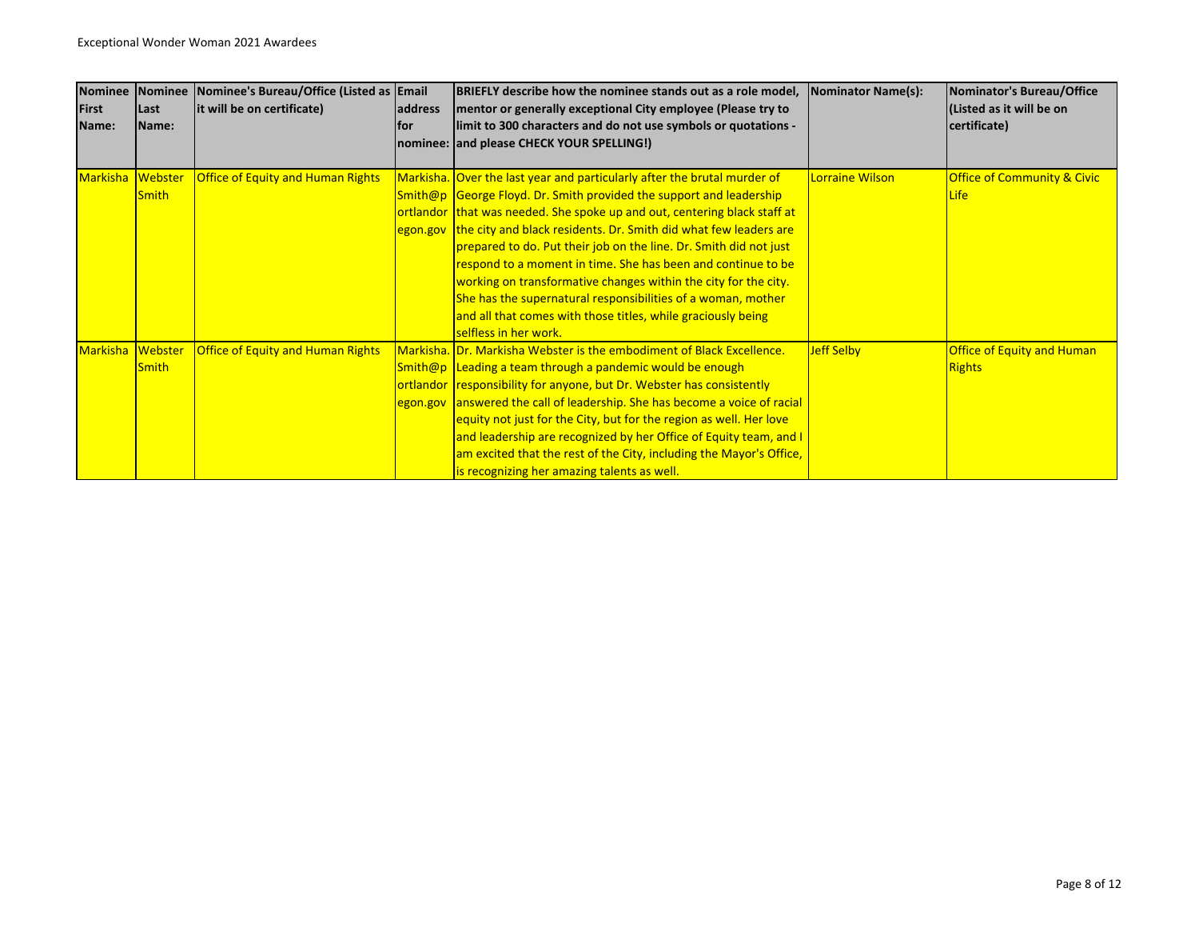| <b>Nominee</b>  | Nominee      | Nominee's Bureau/Office (Listed as Email |         | BRIEFLY describe how the nominee stands out as a role model,               | <b>Nominator Name(s):</b> | Nominator's Bureau/Office              |
|-----------------|--------------|------------------------------------------|---------|----------------------------------------------------------------------------|---------------------------|----------------------------------------|
| First           | Last         | it will be on certificate)               | address | mentor or generally exceptional City employee (Please try to               |                           | (Listed as it will be on               |
| Name:           | Name:        |                                          | lfor    | limit to 300 characters and do not use symbols or quotations -             |                           | certificate)                           |
|                 |              |                                          |         | nominee: and please CHECK YOUR SPELLING!)                                  |                           |                                        |
|                 |              |                                          |         |                                                                            |                           |                                        |
| <b>Markisha</b> | Webster      | <b>Office of Equity and Human Rights</b> |         | Markisha. Over the last year and particularly after the brutal murder of   | Lorraine Wilson           | <b>Office of Community &amp; Civic</b> |
|                 | <b>Smith</b> |                                          |         | Smith@p George Floyd. Dr. Smith provided the support and leadership        |                           | Life                                   |
|                 |              |                                          |         | ortlandor that was needed. She spoke up and out, centering black staff at  |                           |                                        |
|                 |              |                                          |         | egon.gov the city and black residents. Dr. Smith did what few leaders are  |                           |                                        |
|                 |              |                                          |         | prepared to do. Put their job on the line. Dr. Smith did not just          |                           |                                        |
|                 |              |                                          |         | respond to a moment in time. She has been and continue to be               |                           |                                        |
|                 |              |                                          |         | working on transformative changes within the city for the city.            |                           |                                        |
|                 |              |                                          |         | She has the supernatural responsibilities of a woman, mother               |                           |                                        |
|                 |              |                                          |         | and all that comes with those titles, while graciously being               |                           |                                        |
|                 |              |                                          |         | selfless in her work.                                                      |                           |                                        |
| <b>Markisha</b> | Webster      | <b>Office of Equity and Human Rights</b> |         | Markisha. Dr. Markisha Webster is the embodiment of Black Excellence.      | <b>Jeff Selby</b>         | <b>Office of Equity and Human</b>      |
|                 | <b>Smith</b> |                                          |         | Smith@p Leading a team through a pandemic would be enough                  |                           | <b>Rights</b>                          |
|                 |              |                                          |         | ortlandor responsibility for anyone, but Dr. Webster has consistently      |                           |                                        |
|                 |              |                                          |         | egon.gov answered the call of leadership. She has become a voice of racial |                           |                                        |
|                 |              |                                          |         | equity not just for the City, but for the region as well. Her love         |                           |                                        |
|                 |              |                                          |         | and leadership are recognized by her Office of Equity team, and I          |                           |                                        |
|                 |              |                                          |         | am excited that the rest of the City, including the Mayor's Office,        |                           |                                        |
|                 |              |                                          |         | is recognizing her amazing talents as well.                                |                           |                                        |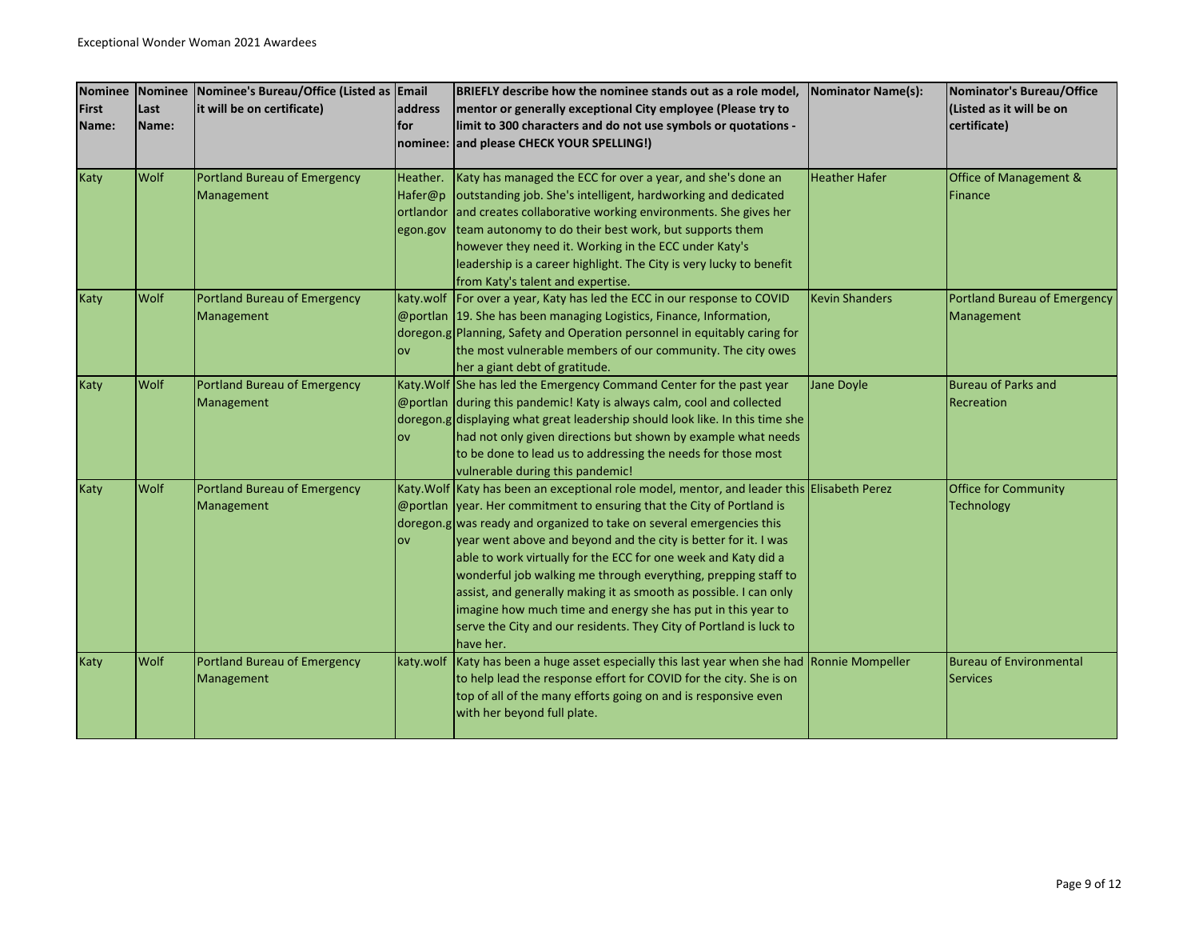| <b>Nominee</b> | <b>Nominee</b> | Nominee's Bureau/Office (Listed as Email |            | BRIEFLY describe how the nominee stands out as a role model.                                | Nominator Name(s):    | Nominator's Bureau/Office      |
|----------------|----------------|------------------------------------------|------------|---------------------------------------------------------------------------------------------|-----------------------|--------------------------------|
| <b>First</b>   | Last           | it will be on certificate)               | address    | mentor or generally exceptional City employee (Please try to                                |                       | (Listed as it will be on       |
| Name:          | Name:          |                                          | lfor       | limit to 300 characters and do not use symbols or quotations -                              |                       | certificate)                   |
|                |                |                                          | nominee:   | and please CHECK YOUR SPELLING!)                                                            |                       |                                |
|                |                |                                          |            |                                                                                             |                       |                                |
| Katy           | Wolf           | <b>Portland Bureau of Emergency</b>      | Heather.   | Katy has managed the ECC for over a year, and she's done an                                 | <b>Heather Hafer</b>  | Office of Management &         |
|                |                | Management                               | Hafer@p    | outstanding job. She's intelligent, hardworking and dedicated                               |                       | Finance                        |
|                |                |                                          | ortlandor  | and creates collaborative working environments. She gives her                               |                       |                                |
|                |                |                                          | egon.gov   | team autonomy to do their best work, but supports them                                      |                       |                                |
|                |                |                                          |            | however they need it. Working in the ECC under Katy's                                       |                       |                                |
|                |                |                                          |            | leadership is a career highlight. The City is very lucky to benefit                         |                       |                                |
|                |                |                                          |            | from Katy's talent and expertise.                                                           |                       |                                |
| Katy           | <b>Wolf</b>    | <b>Portland Bureau of Emergency</b>      |            | katy.wolf For over a year, Katy has led the ECC in our response to COVID                    | <b>Kevin Shanders</b> | Portland Bureau of Emergency   |
|                |                | Management                               |            | @portlan 19. She has been managing Logistics, Finance, Information,                         |                       | Management                     |
|                |                |                                          |            | doregon.g Planning, Safety and Operation personnel in equitably caring for                  |                       |                                |
|                |                |                                          | <b>OV</b>  | the most vulnerable members of our community. The city owes                                 |                       |                                |
|                |                |                                          |            | her a giant debt of gratitude.                                                              |                       |                                |
| <b>Katy</b>    | Wolf           | <b>Portland Bureau of Emergency</b>      |            | Katy. Wolf She has led the Emergency Command Center for the past year                       | Jane Doyle            | <b>Bureau of Parks and</b>     |
|                |                | Management                               |            | @portlan during this pandemic! Katy is always calm, cool and collected                      |                       | Recreation                     |
|                |                |                                          |            | doregon.g displaying what great leadership should look like. In this time she               |                       |                                |
|                |                |                                          | <b>OV</b>  | had not only given directions but shown by example what needs                               |                       |                                |
|                |                |                                          |            | to be done to lead us to addressing the needs for those most                                |                       |                                |
|                |                |                                          |            | vulnerable during this pandemic!                                                            |                       |                                |
| <b>Katy</b>    | Wolf           | <b>Portland Bureau of Emergency</b>      |            | Katy. Wolf Katy has been an exceptional role model, mentor, and leader this Elisabeth Perez |                       | Office for Community           |
|                |                | Management                               |            | @portlan year. Her commitment to ensuring that the City of Portland is                      |                       | <b>Technology</b>              |
|                |                |                                          |            | doregon.g was ready and organized to take on several emergencies this                       |                       |                                |
|                |                |                                          | <b>lov</b> | year went above and beyond and the city is better for it. I was                             |                       |                                |
|                |                |                                          |            | able to work virtually for the ECC for one week and Katy did a                              |                       |                                |
|                |                |                                          |            | wonderful job walking me through everything, prepping staff to                              |                       |                                |
|                |                |                                          |            | assist, and generally making it as smooth as possible. I can only                           |                       |                                |
|                |                |                                          |            | imagine how much time and energy she has put in this year to                                |                       |                                |
|                |                |                                          |            | serve the City and our residents. They City of Portland is luck to<br>have her.             |                       |                                |
|                | Wolf           |                                          |            | Katy has been a huge asset especially this last year when she had Ronnie Mompeller          |                       | <b>Bureau of Environmental</b> |
| Katy           |                | <b>Portland Bureau of Emergency</b>      | katy.wolf  | to help lead the response effort for COVID for the city. She is on                          |                       | <b>Services</b>                |
|                |                | Management                               |            | top of all of the many efforts going on and is responsive even                              |                       |                                |
|                |                |                                          |            | with her beyond full plate.                                                                 |                       |                                |
|                |                |                                          |            |                                                                                             |                       |                                |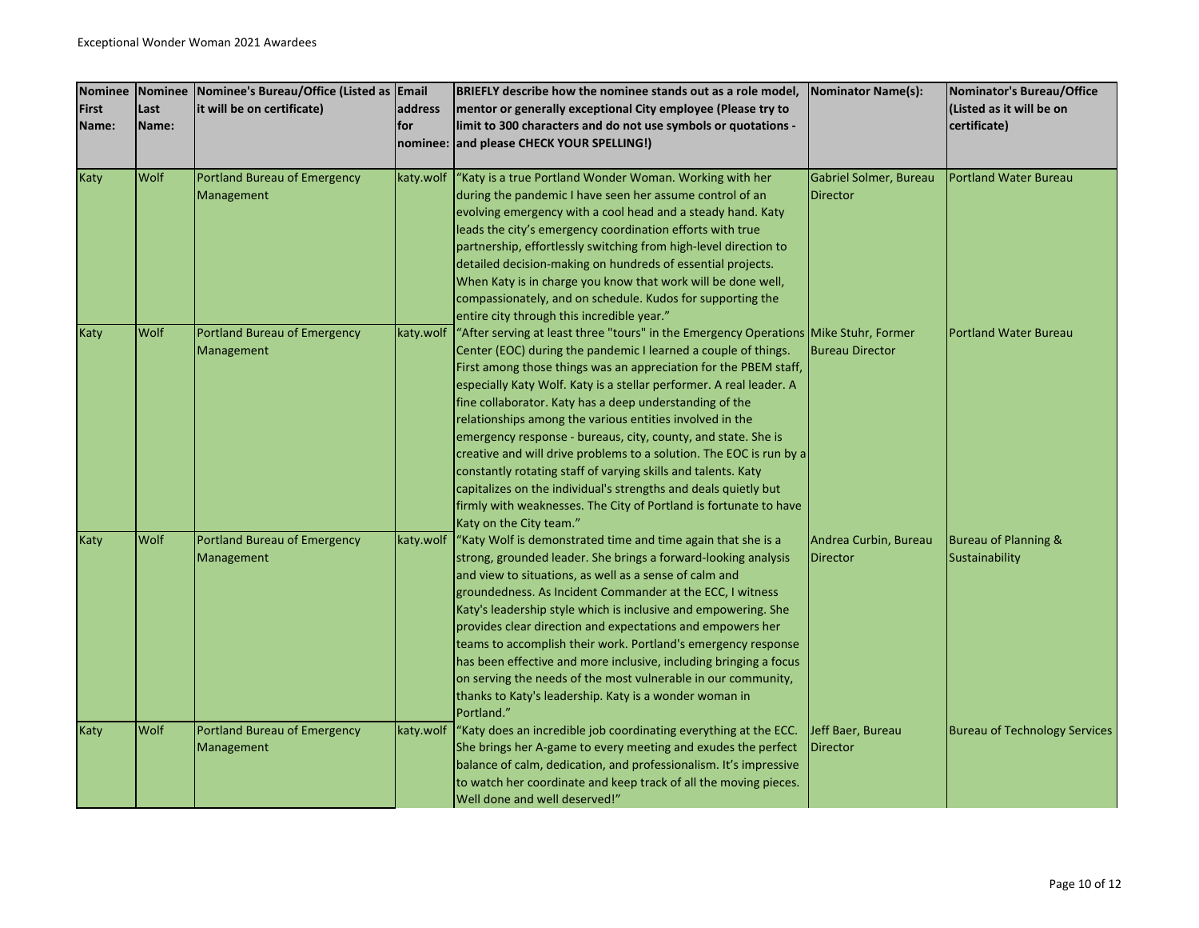| <b>Nominee</b> | Nominee | Nominee's Bureau/Office (Listed as Email |           | BRIEFLY describe how the nominee stands out as a role model,                                                                       | <b>Nominator Name(s):</b> | Nominator's Bureau/Office            |
|----------------|---------|------------------------------------------|-----------|------------------------------------------------------------------------------------------------------------------------------------|---------------------------|--------------------------------------|
| <b>First</b>   | Last    | it will be on certificate)               | address   | mentor or generally exceptional City employee (Please try to                                                                       |                           | (Listed as it will be on             |
| Name:          | Name:   |                                          | for       | limit to 300 characters and do not use symbols or quotations -                                                                     |                           | certificate)                         |
|                |         |                                          |           | nominee: and please CHECK YOUR SPELLING!)                                                                                          |                           |                                      |
| Katy           | Wolf    | <b>Portland Bureau of Emergency</b>      | katy.wolf | "Katy is a true Portland Wonder Woman. Working with her                                                                            | Gabriel Solmer, Bureau    | <b>Portland Water Bureau</b>         |
|                |         | Management                               |           | during the pandemic I have seen her assume control of an                                                                           | <b>Director</b>           |                                      |
|                |         |                                          |           | evolving emergency with a cool head and a steady hand. Katy                                                                        |                           |                                      |
|                |         |                                          |           | leads the city's emergency coordination efforts with true                                                                          |                           |                                      |
|                |         |                                          |           | partnership, effortlessly switching from high-level direction to                                                                   |                           |                                      |
|                |         |                                          |           | detailed decision-making on hundreds of essential projects.                                                                        |                           |                                      |
|                |         |                                          |           | When Katy is in charge you know that work will be done well,                                                                       |                           |                                      |
|                |         |                                          |           | compassionately, and on schedule. Kudos for supporting the                                                                         |                           |                                      |
| Katy           | Wolf    | <b>Portland Bureau of Emergency</b>      | katy.wolf | entire city through this incredible year."<br>"After serving at least three "tours" in the Emergency Operations Mike Stuhr, Former |                           | <b>Portland Water Bureau</b>         |
|                |         | Management                               |           | Center (EOC) during the pandemic I learned a couple of things.                                                                     | <b>Bureau Director</b>    |                                      |
|                |         |                                          |           | First among those things was an appreciation for the PBEM staff,                                                                   |                           |                                      |
|                |         |                                          |           | especially Katy Wolf. Katy is a stellar performer. A real leader. A                                                                |                           |                                      |
|                |         |                                          |           | fine collaborator. Katy has a deep understanding of the                                                                            |                           |                                      |
|                |         |                                          |           | relationships among the various entities involved in the                                                                           |                           |                                      |
|                |         |                                          |           | emergency response - bureaus, city, county, and state. She is                                                                      |                           |                                      |
|                |         |                                          |           | creative and will drive problems to a solution. The EOC is run by a                                                                |                           |                                      |
|                |         |                                          |           | constantly rotating staff of varying skills and talents. Katy                                                                      |                           |                                      |
|                |         |                                          |           | capitalizes on the individual's strengths and deals quietly but                                                                    |                           |                                      |
|                |         |                                          |           | firmly with weaknesses. The City of Portland is fortunate to have                                                                  |                           |                                      |
|                |         |                                          |           | Katy on the City team."                                                                                                            |                           |                                      |
| Katy           | Wolf    | <b>Portland Bureau of Emergency</b>      | katy.wolf | "Katy Wolf is demonstrated time and time again that she is a                                                                       | Andrea Curbin, Bureau     | <b>Bureau of Planning &amp;</b>      |
|                |         | Management                               |           | strong, grounded leader. She brings a forward-looking analysis                                                                     | <b>Director</b>           | Sustainability                       |
|                |         |                                          |           | and view to situations, as well as a sense of calm and                                                                             |                           |                                      |
|                |         |                                          |           | groundedness. As Incident Commander at the ECC, I witness<br>Katy's leadership style which is inclusive and empowering. She        |                           |                                      |
|                |         |                                          |           | provides clear direction and expectations and empowers her                                                                         |                           |                                      |
|                |         |                                          |           | teams to accomplish their work. Portland's emergency response                                                                      |                           |                                      |
|                |         |                                          |           | has been effective and more inclusive, including bringing a focus                                                                  |                           |                                      |
|                |         |                                          |           | on serving the needs of the most vulnerable in our community,                                                                      |                           |                                      |
|                |         |                                          |           | thanks to Katy's leadership. Katy is a wonder woman in                                                                             |                           |                                      |
|                |         |                                          |           | Portland."                                                                                                                         |                           |                                      |
| Katy           | Wolf    | <b>Portland Bureau of Emergency</b>      | katy.wolf | "Katy does an incredible job coordinating everything at the ECC.                                                                   | Jeff Baer, Bureau         | <b>Bureau of Technology Services</b> |
|                |         | Management                               |           | She brings her A-game to every meeting and exudes the perfect                                                                      | <b>Director</b>           |                                      |
|                |         |                                          |           | balance of calm, dedication, and professionalism. It's impressive                                                                  |                           |                                      |
|                |         |                                          |           | to watch her coordinate and keep track of all the moving pieces.                                                                   |                           |                                      |
|                |         |                                          |           | Well done and well deserved!"                                                                                                      |                           |                                      |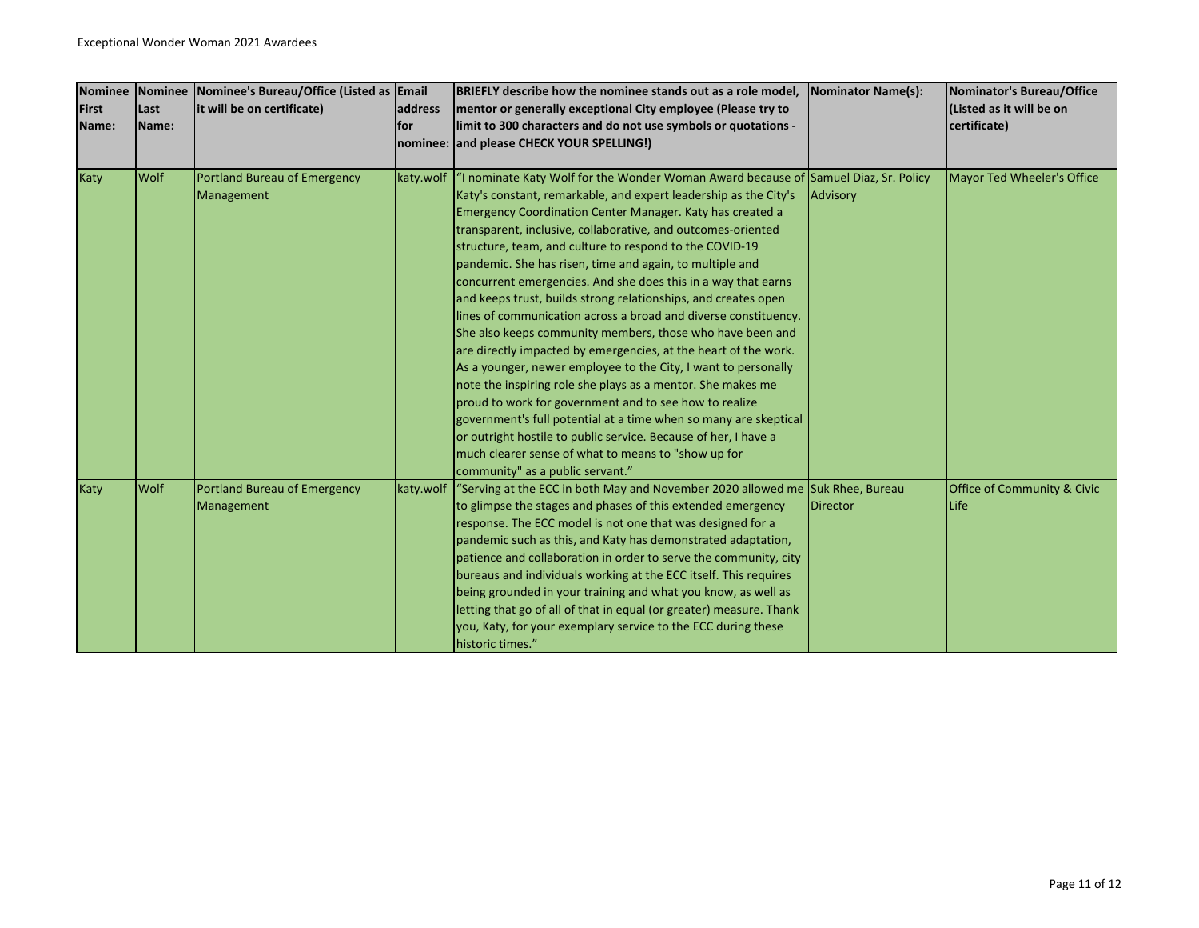| <b>Nominee</b> |       | Nominee Nominee's Bureau/Office (Listed as Email |           | BRIEFLY describe how the nominee stands out as a role model,                        | Nominator Name(s): | Nominator's Bureau/Office              |
|----------------|-------|--------------------------------------------------|-----------|-------------------------------------------------------------------------------------|--------------------|----------------------------------------|
| <b>First</b>   | Last  | it will be on certificate)                       | address   | mentor or generally exceptional City employee (Please try to                        |                    | (Listed as it will be on               |
| Name:          | Name: |                                                  | for       | limit to 300 characters and do not use symbols or quotations -                      |                    | certificate)                           |
|                |       |                                                  |           | nominee: and please CHECK YOUR SPELLING!)                                           |                    |                                        |
|                |       |                                                  |           |                                                                                     |                    |                                        |
| Katy           | Wolf  | Portland Bureau of Emergency                     | katy.wolf | "I nominate Katy Wolf for the Wonder Woman Award because of Samuel Diaz, Sr. Policy |                    | Mayor Ted Wheeler's Office             |
|                |       | Management                                       |           | Katy's constant, remarkable, and expert leadership as the City's                    | Advisory           |                                        |
|                |       |                                                  |           | Emergency Coordination Center Manager. Katy has created a                           |                    |                                        |
|                |       |                                                  |           | transparent, inclusive, collaborative, and outcomes-oriented                        |                    |                                        |
|                |       |                                                  |           | structure, team, and culture to respond to the COVID-19                             |                    |                                        |
|                |       |                                                  |           | pandemic. She has risen, time and again, to multiple and                            |                    |                                        |
|                |       |                                                  |           | concurrent emergencies. And she does this in a way that earns                       |                    |                                        |
|                |       |                                                  |           | and keeps trust, builds strong relationships, and creates open                      |                    |                                        |
|                |       |                                                  |           | lines of communication across a broad and diverse constituency.                     |                    |                                        |
|                |       |                                                  |           | She also keeps community members, those who have been and                           |                    |                                        |
|                |       |                                                  |           | are directly impacted by emergencies, at the heart of the work.                     |                    |                                        |
|                |       |                                                  |           | As a younger, newer employee to the City, I want to personally                      |                    |                                        |
|                |       |                                                  |           | note the inspiring role she plays as a mentor. She makes me                         |                    |                                        |
|                |       |                                                  |           | proud to work for government and to see how to realize                              |                    |                                        |
|                |       |                                                  |           | government's full potential at a time when so many are skeptical                    |                    |                                        |
|                |       |                                                  |           | or outright hostile to public service. Because of her, I have a                     |                    |                                        |
|                |       |                                                  |           | much clearer sense of what to means to "show up for                                 |                    |                                        |
|                |       |                                                  |           | community" as a public servant."                                                    |                    |                                        |
| Katy           | Wolf  | Portland Bureau of Emergency                     | katy.wolf | "Serving at the ECC in both May and November 2020 allowed me Suk Rhee, Bureau       |                    | <b>Office of Community &amp; Civic</b> |
|                |       | Management                                       |           | to glimpse the stages and phases of this extended emergency                         | Director           | Life                                   |
|                |       |                                                  |           | response. The ECC model is not one that was designed for a                          |                    |                                        |
|                |       |                                                  |           | pandemic such as this, and Katy has demonstrated adaptation,                        |                    |                                        |
|                |       |                                                  |           | patience and collaboration in order to serve the community, city                    |                    |                                        |
|                |       |                                                  |           | bureaus and individuals working at the ECC itself. This requires                    |                    |                                        |
|                |       |                                                  |           | being grounded in your training and what you know, as well as                       |                    |                                        |
|                |       |                                                  |           | letting that go of all of that in equal (or greater) measure. Thank                 |                    |                                        |
|                |       |                                                  |           | you, Katy, for your exemplary service to the ECC during these                       |                    |                                        |
|                |       |                                                  |           | historic times."                                                                    |                    |                                        |